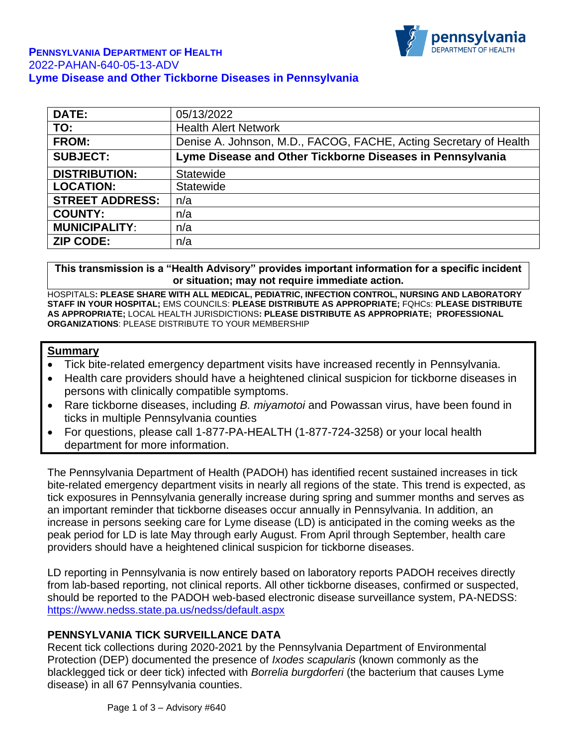

| <b>DATE:</b>           | 05/13/2022                                                        |
|------------------------|-------------------------------------------------------------------|
| TO:                    | <b>Health Alert Network</b>                                       |
| <b>FROM:</b>           | Denise A. Johnson, M.D., FACOG, FACHE, Acting Secretary of Health |
| <b>SUBJECT:</b>        | Lyme Disease and Other Tickborne Diseases in Pennsylvania         |
| <b>DISTRIBUTION:</b>   | Statewide                                                         |
| <b>LOCATION:</b>       | Statewide                                                         |
| <b>STREET ADDRESS:</b> | n/a                                                               |
| <b>COUNTY:</b>         | n/a                                                               |
| <b>MUNICIPALITY:</b>   | n/a                                                               |
| <b>ZIP CODE:</b>       | n/a                                                               |

**This transmission is a "Health Advisory" provides important information for a specific incident or situation; may not require immediate action.**

HOSPITALS**: PLEASE SHARE WITH ALL MEDICAL, PEDIATRIC, INFECTION CONTROL, NURSING AND LABORATORY STAFF IN YOUR HOSPITAL;** EMS COUNCILS: **PLEASE DISTRIBUTE AS APPROPRIATE;** FQHCs: **PLEASE DISTRIBUTE AS APPROPRIATE;** LOCAL HEALTH JURISDICTIONS**: PLEASE DISTRIBUTE AS APPROPRIATE; PROFESSIONAL ORGANIZATIONS**: PLEASE DISTRIBUTE TO YOUR MEMBERSHIP

#### **Summary**

- Tick bite-related emergency department visits have increased recently in Pennsylvania.
- Health care providers should have a heightened clinical suspicion for tickborne diseases in persons with clinically compatible symptoms.
- Rare tickborne diseases, including *B. miyamotoi* and Powassan virus, have been found in ticks in multiple Pennsylvania counties
- For questions, please call 1-877-PA-HEALTH (1-877-724-3258) or your local health department for more information.

The Pennsylvania Department of Health (PADOH) has identified recent sustained increases in tick bite-related emergency department visits in nearly all regions of the state. This trend is expected, as tick exposures in Pennsylvania generally increase during spring and summer months and serves as an important reminder that tickborne diseases occur annually in Pennsylvania. In addition, an increase in persons seeking care for Lyme disease (LD) is anticipated in the coming weeks as the peak period for LD is late May through early August. From April through September, health care providers should have a heightened clinical suspicion for tickborne diseases.

LD reporting in Pennsylvania is now entirely based on laboratory reports PADOH receives directly from lab-based reporting, not clinical reports. All other tickborne diseases, confirmed or suspected, should be reported to the PADOH web-based electronic disease surveillance system, PA-NEDSS: <https://www.nedss.state.pa.us/nedss/default.aspx>

#### **PENNSYLVANIA TICK SURVEILLANCE DATA**

Recent tick collections during 2020-2021 by the Pennsylvania Department of Environmental Protection (DEP) documented the presence of *Ixodes scapularis* (known commonly as the blacklegged tick or deer tick) infected with *Borrelia burgdorferi* (the bacterium that causes Lyme disease) in all 67 Pennsylvania counties.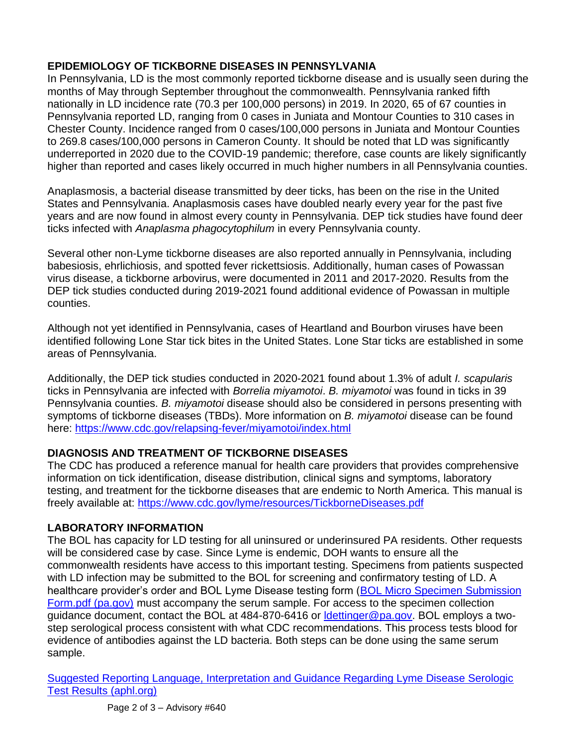# **EPIDEMIOLOGY OF TICKBORNE DISEASES IN PENNSYLVANIA**

In Pennsylvania, LD is the most commonly reported tickborne disease and is usually seen during the months of May through September throughout the commonwealth. Pennsylvania ranked fifth nationally in LD incidence rate (70.3 per 100,000 persons) in 2019. In 2020, 65 of 67 counties in Pennsylvania reported LD, ranging from 0 cases in Juniata and Montour Counties to 310 cases in Chester County. Incidence ranged from 0 cases/100,000 persons in Juniata and Montour Counties to 269.8 cases/100,000 persons in Cameron County. It should be noted that LD was significantly underreported in 2020 due to the COVID-19 pandemic; therefore, case counts are likely significantly higher than reported and cases likely occurred in much higher numbers in all Pennsylvania counties.

Anaplasmosis, a bacterial disease transmitted by deer ticks, has been on the rise in the United States and Pennsylvania. Anaplasmosis cases have doubled nearly every year for the past five years and are now found in almost every county in Pennsylvania. DEP tick studies have found deer ticks infected with *Anaplasma phagocytophilum* in every Pennsylvania county.

Several other non-Lyme tickborne diseases are also reported annually in Pennsylvania, including babesiosis, ehrlichiosis, and spotted fever rickettsiosis. Additionally, human cases of Powassan virus disease, a tickborne arbovirus, were documented in 2011 and 2017-2020. Results from the DEP tick studies conducted during 2019-2021 found additional evidence of Powassan in multiple counties.

Although not yet identified in Pennsylvania, cases of Heartland and Bourbon viruses have been identified following Lone Star tick bites in the United States. Lone Star ticks are established in some areas of Pennsylvania.

Additionally, the DEP tick studies conducted in 2020-2021 found about 1.3% of adult *I. scapularis* ticks in Pennsylvania are infected with *Borrelia miyamotoi*. *B. miyamotoi* was found in ticks in 39 Pennsylvania counties. *B. miyamotoi* disease should also be considered in persons presenting with symptoms of tickborne diseases (TBDs). More information on *B. miyamotoi* disease can be found here: <https://www.cdc.gov/relapsing-fever/miyamotoi/index.html>

# **DIAGNOSIS AND TREATMENT OF TICKBORNE DISEASES**

The CDC has produced a reference manual for health care providers that provides comprehensive information on tick identification, disease distribution, clinical signs and symptoms, laboratory testing, and treatment for the tickborne diseases that are endemic to North America. This manual is freely available at:<https://www.cdc.gov/lyme/resources/TickborneDiseases.pdf>

# **LABORATORY INFORMATION**

The BOL has capacity for LD testing for all uninsured or underinsured PA residents. Other requests will be considered case by case. Since Lyme is endemic, DOH wants to ensure all the commonwealth residents have access to this important testing. Specimens from patients suspected with LD infection may be submitted to the BOL for screening and confirmatory testing of LD. A healthcare provider's order and BOL Lyme Disease testing form (BOL Micro Specimen Submission [Form.pdf \(pa.gov\)](https://www.health.pa.gov/topics/Documents/Laboratories/BOL%20Micro%20Specimen%20Submission%20Form.pdf) must accompany the serum sample. For access to the specimen collection guidance document, contact the BOL at 484-870-6416 or **Idettinger@pa.gov.** BOL employs a twostep serological process consistent with what CDC recommendations. This process tests blood for evidence of antibodies against the LD bacteria. Both steps can be done using the same serum sample.

[Suggested Reporting Language, Interpretation and Guidance Regarding Lyme Disease Serologic](https://www.aphl.org/aboutAPHL/publications/Documents/ID-2021-Lyme-Disease-Serologic-Testing-Reporting.pdf)  [Test Results \(aphl.org\)](https://www.aphl.org/aboutAPHL/publications/Documents/ID-2021-Lyme-Disease-Serologic-Testing-Reporting.pdf)